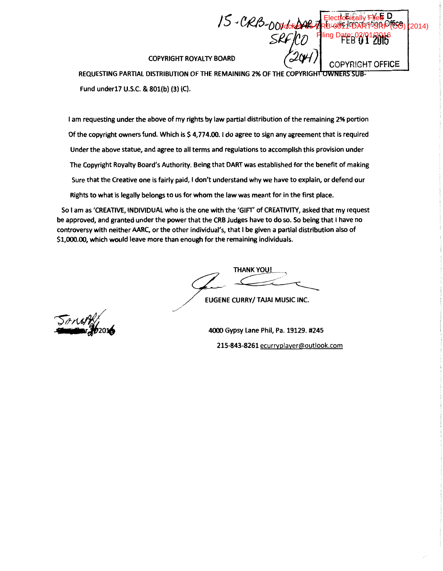COPYRIGHT ROYALTY BOARD

REQUESTING PARTIAL DISTRIBUTION OF THE REMAINING 2% OF THE COPYRIGHT OWNERS SUB-Fund under17 U.S.C. & 801(b) (3) (C).

*15--Ct2!6-0011--M-;,* 

s·ffjco

 $_{\rm H}$  D

 $F = \alpha$ High  $F$  of  $\alpha$ 

Electronically Filed **Ddcket: 15-CRB-0041-DART-SRF (CO) (**2014)

ling D

FEB 01 2016

COPYRIGHT OFFICE

I am requesting under the above of my rights by law partial distribution of the remaining 2% portion Of the copyright owners fund. Which is \$4,774.00. I do agree to sign any agreement that is required Under the above statue, and agree to all terms and regulations to accomplish this provision under The Copyright Royalty Board's Authority. Being that DART was established for the benefit of making Sure that the Creative one is fairly paid, I don't understand why we have to explain, or defend our Rights to what is legally belongs to us for whom the law was meant for in the first place.

So I am as 'CREATIVE, INDIVIDUAL who is the one with the 'GIFT' of CREATIVITY, asked that my request be approved, and granted under the power that the CRB Judges have to do so. So being that I have no controversy with neither AARC, or the other individual's, that I be given a partial distribution also of \$1,000.00, which would leave more than enough for the remaining individuals.

/

THANK YOU!

EUGENE CURRY/ TAJAI MUSIC INC.

4000 Gypsy Lane Phil, Pa. 19129. #245 215-843-8261 ecurryplayer@outlook.com